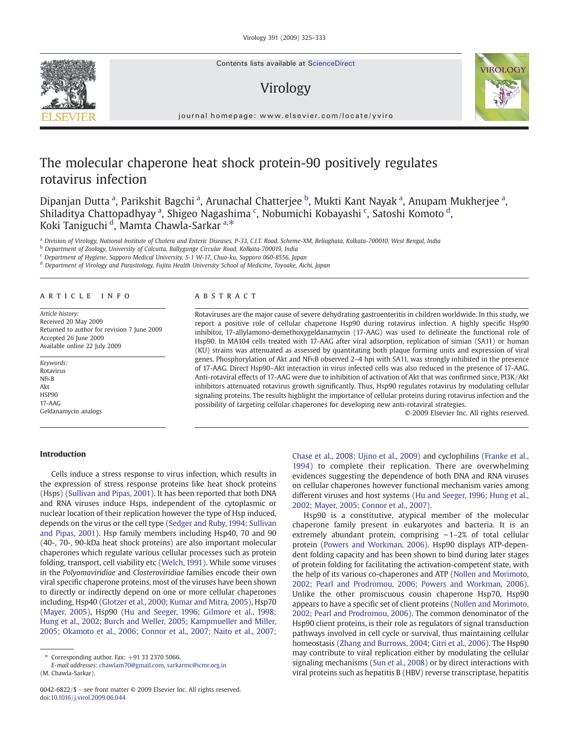Contents lists available at [ScienceDirect](http://www.sciencedirect.com/science/journal/00426822)

# Virology



journal homepage: www.elsevier.com/locate/yviro

# The molecular chaperone heat shock protein-90 positively regulates rotavirus infection

Dipanjan Dutta <sup>a</sup>, Parikshit Bagchi <sup>a</sup>, Arunachal Chatterjee <sup>b</sup>, Mukti Kant Nayak <sup>a</sup>, Anupam Mukherjee <sup>a</sup>, Shiladitya Chattopadhyay<sup>a</sup>, Shigeo Nagashima <sup>c</sup>, Nobumichi Kobayashi <sup>c</sup>, Satoshi Komoto <sup>d</sup>, Koki Taniguchi <sup>d</sup>, Mamta Chawla-Sarkar <sup>a,\*</sup>

<sup>a</sup> *Division of Virology, National Institute of Cholera and Enteric Diseases, P-33, C.I.T. Road, Scheme-XM, Beliaghata, Kolkata-700010, West Bengal, India*

<sup>b</sup> *Department of Zoology, University of Calcutta, Ballygunge Circular Road, Kolkata-700019, India*

<sup>c</sup> *Department of Hygiene, Sapporo Medical University, S-1 W-17, Chuo-ku, Sapporo 060-8556, Japan*

<sup>d</sup> *Department of Virology and Parasitology, Fujita Health University School of Medicine, Toyoake, Aichi, Japan*

#### article info abstract

*Article history:* Received 20 May 2009 Returned to author for revision 7 June 2009 Accepted 26 June 2009 Available online 22 July 2009

*Keywords:* Rotavirus NFκB Akt HSP90 17-AAG Geldanamycin analogs

Rotaviruses are the major cause of severe dehydrating gastroenteritis in children worldwide. In this study, we report a positive role of cellular chaperone Hsp90 during rotavirus infection. A highly specific Hsp90 inhibitor, 17-allylamono-demethoxygeldanamycin (17-AAG) was used to delineate the functional role of Hsp90. In MA104 cells treated with 17-AAG after viral adsorption, replication of simian (SA11) or human (KU) strains was attenuated as assessed by quantitating both plaque forming units and expression of viral genes. Phosphorylation of Akt and NFκB observed 2–4 hpi with SA11, was strongly inhibited in the presence of 17-AAG. Direct Hsp90–Akt interaction in virus infected cells was also reduced in the presence of 17-AAG. Anti-rotaviral effects of 17-AAG were due to inhibition of activation of Akt that was confirmed since, PI3K/Akt inhibitors attenuated rotavirus growth significantly. Thus, Hsp90 regulates rotavirus by modulating cellular signaling proteins. The results highlight the importance of cellular proteins during rotavirus infection and the possibility of targeting cellular chaperones for developing new anti-rotaviral strategies.

© 2009 Elsevier Inc. All rights reserved.

# Introduction

Cells induce a stress response to virus infection, which results in the expression of stress response proteins like heat shock proteins (Hsps) ([Sullivan and Pipas, 2001\)](#page-8-0). It has been reported that both DNA and RNA viruses induce Hsps, independent of the cytoplasmic or nuclear location of their replication however the type of Hsp induced, depends on the virus or the cell type [\(Sedger and Ruby, 1994; Sullivan](#page-8-0) [and Pipas, 2001](#page-8-0)). Hsp family members including Hsp40, 70 and 90 (40-, 70-, 90-kDa heat shock proteins) are also important molecular chaperones which regulate various cellular processes such as protein folding, transport, cell viability etc ([Welch, 1991](#page-8-0)). While some viruses in the *Polyomaviridiae* and *Closteroviridiae* families encode their own viral specific chaperone proteins, most of the viruses have been shown to directly or indirectly depend on one or more cellular chaperones including, Hsp40 ([Glotzer et al., 2000; Kumar and Mitra, 2005](#page-8-0)), Hsp70 [\(Mayer, 2005\)](#page-8-0), Hsp90 ([Hu and Seeger, 1996; Gilmore et al., 1998;](#page-8-0) [Hung et al., 2002; Burch and Weller, 2005; Kampmueller and Miller,](#page-8-0) [2005; Okamoto et al., 2006; Connor et al., 2007; Naito et al., 2007;](#page-8-0)

*E-mail addresses:* [chawlam70@gmail.com](mailto:chawlam70@gmail.com), [sarkarmc@icmr.org.in](mailto:sarkarmc@icmr.org.in) (M. Chawla-Sarkar).

[Chase et al., 2008; Ujino et al., 2009](#page-8-0)) and cyclophilins ([Franke et al.,](#page-8-0) [1994\)](#page-8-0) to complete their replication. There are overwhelming evidences suggesting the dependence of both DNA and RNA viruses on cellular chaperones however functional mechanism varies among different viruses and host systems [\(Hu and Seeger, 1996; Hung et al.,](#page-8-0) [2002; Mayer, 2005; Connor et al., 2007](#page-8-0)).

Hsp90 is a constitutive, atypical member of the molecular chaperone family present in eukaryotes and bacteria. It is an extremely abundant protein, comprising ∼1–2% of total cellular protein ([Powers and Workman, 2006\)](#page-8-0). Hsp90 displays ATP-dependent folding capacity and has been shown to bind during later stages of protein folding for facilitating the activation-competent state, with the help of its various co-chaperones and ATP ([Nollen and Morimoto,](#page-8-0) [2002; Pearl and Prodromou, 2006; Powers and Workman, 2006](#page-8-0)). Unlike the other promiscuous cousin chaperone Hsp70, Hsp90 appears to have a specific set of client proteins [\(Nollen and Morimoto,](#page-8-0) [2002; Pearl and Prodromou, 2006\)](#page-8-0). The common denominator of the Hsp90 client proteins, is their role as regulators of signal transduction pathways involved in cell cycle or survival, thus maintaining cellular homeostasis ([Zhang and Burrows, 2004; Citri et al., 2006\)](#page-8-0). The Hsp90 may contribute to viral replication either by modulating the cellular signaling mechanisms [\(Sun et al., 2008](#page-8-0)) or by direct interactions with viral proteins such as hepatitis B (HBV) reverse transcriptase, hepatitis



<sup>⁎</sup> Corresponding author. Fax: +91 33 2370 5066.

<sup>0042-6822/\$</sup> – see front matter © 2009 Elsevier Inc. All rights reserved. doi:[10.1016/j.virol.2009.06.044](http://dx.doi.org/10.1016/j.virol.2009.06.044)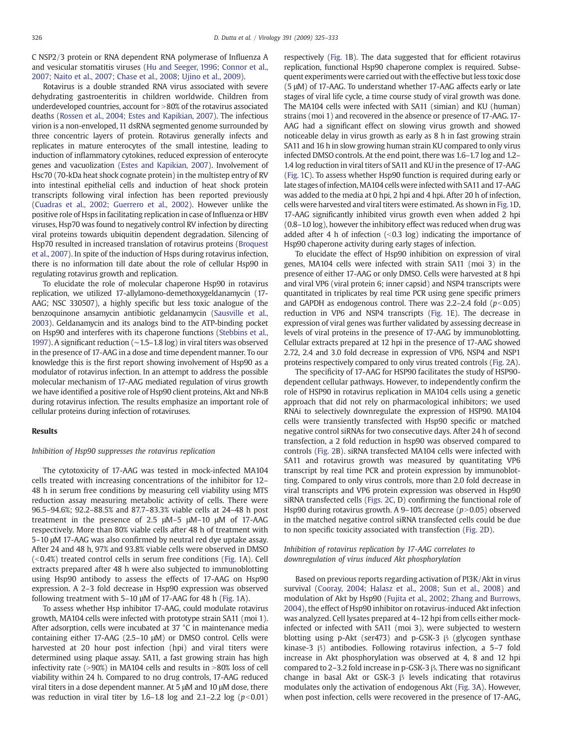C NSP2/3 protein or RNA dependent RNA polymerase of Influenza A and vesicular stomatitis viruses ([Hu and Seeger, 1996; Connor et al.,](#page-8-0) [2007; Naito et al., 2007; Chase et al., 2008; Ujino et al., 2009\)](#page-8-0).

Rotavirus is a double stranded RNA virus associated with severe dehydrating gastroenteritis in children worldwide. Children from underdeveloped countries, account for  $>80\%$  of the rotavirus associated deaths [\(Rossen et al., 2004; Estes and Kapikian, 2007\)](#page-8-0). The infectious virion is a non-enveloped, 11 dsRNA segmented genome surrounded by three concentric layers of protein. Rotavirus generally infects and replicates in mature enterocytes of the small intestine, leading to induction of inflammatory cytokines, reduced expression of enterocyte genes and vacuolization [\(Estes and Kapikian, 2007](#page-8-0)). Involvement of Hsc70 (70-kDa heat shock cognate protein) in the multistep entry of RV into intestinal epithelial cells and induction of heat shock protein transcripts following viral infection has been reported previously [\(Cuadras et al., 2002; Guerrero et al., 2002](#page-8-0)). However unlike the positive role of Hsps in facilitating replication in case of Influenza or HBV viruses, Hsp70 was found to negatively control RV infection by directing viral proteins towards ubiquitin dependent degradation. Silencing of Hsp70 resulted in increased translation of rotavirus proteins [\(Broquest](#page-7-0) [et al., 2007](#page-7-0)). In spite of the induction of Hsps during rotavirus infection, there is no information till date about the role of cellular Hsp90 in regulating rotavirus growth and replication.

To elucidate the role of molecular chaperone Hsp90 in rotavirus replication, we utilized 17-allylamono-demethoxygeldanamycin (17- AAG; NSC 330507), a highly specific but less toxic analogue of the benzoquinone ansamycin antibiotic geldanamycin [\(Sausville et al.,](#page-8-0) [2003\)](#page-8-0). Geldanamycin and its analogs bind to the ATP-binding pocket on Hsp90 and interferes with its chaperone functions ([Stebbins et al.,](#page-8-0) [1997\)](#page-8-0). A significant reduction (∼1.5–1.8 log) in viral titers was observed in the presence of 17-AAG in a dose and time dependent manner. To our knowledge this is the first report showing involvement of Hsp90 as a modulator of rotavirus infection. In an attempt to address the possible molecular mechanism of 17-AAG mediated regulation of virus growth we have identified a positive role of Hsp90 client proteins, Akt and NFκB during rotavirus infection. The results emphasize an important role of cellular proteins during infection of rotaviruses.

### Results

#### *Inhibition of Hsp90 suppresses the rotavirus replication*

The cytotoxicity of 17-AAG was tested in mock-infected MA104 cells treated with increasing concentrations of the inhibitor for 12– 48 h in serum free conditions by measuring cell viability using MTS reduction assay measuring metabolic activity of cells. There were 96.5–94.6%; 92.2–88.5% and 87.7–83.3% viable cells at 24–48 h post treatment in the presence of 2.5 μM–5 μM–10 μM of 17-AAG respectively. More than 80% viable cells after 48 h of treatment with 5–10 μM 17-AAG was also confirmed by neutral red dye uptake assay. After 24 and 48 h, 97% and 93.8% viable cells were observed in DMSO  $( $0.4\%$ ) treated control cells in serum free conditions (Fig. 1A). Cell$  $( $0.4\%$ ) treated control cells in serum free conditions (Fig. 1A). Cell$  $( $0.4\%$ ) treated control cells in serum free conditions (Fig. 1A). Cell$ extracts prepared after 48 h were also subjected to immunoblotting using Hsp90 antibody to assess the effects of 17-AAG on Hsp90 expression. A 2–3 fold decrease in Hsp90 expression was observed following treatment with 5–10 μM of 17-AAG for 48 h [\(Fig. 1](#page-2-0)A).

To assess whether Hsp inhibitor 17-AAG, could modulate rotavirus growth, MA104 cells were infected with prototype strain SA11 (moi 1). After adsorption, cells were incubated at 37 °C in maintenance media containing either 17-AAG (2.5–10 μM) or DMSO control. Cells were harvested at 20 hour post infection (hpi) and viral titers were determined using plaque assay. SA11, a fast growing strain has high infectivity rate ( $>90\%$ ) in MA104 cells and results in  $>80\%$  loss of cell viability within 24 h. Compared to no drug controls, 17-AAG reduced viral titers in a dose dependent manner. At 5 μM and 10 μM dose, there was reduction in viral titer by  $1.6-1.8$  log and  $2.1-2.2$  log  $(p<0.01)$  respectively [\(Fig. 1](#page-2-0)B). The data suggested that for efficient rotavirus replication, functional Hsp90 chaperone complex is required. Subsequent experiments were carried out with the effective but less toxic dose (5 μM) of 17-AAG. To understand whether 17-AAG affects early or late stages of viral life cycle, a time course study of viral growth was done. The MA104 cells were infected with SA11 (simian) and KU (human) strains (moi 1) and recovered in the absence or presence of 17-AAG. 17- AAG had a significant effect on slowing virus growth and showed noticeable delay in virus growth as early as 8 h in fast growing strain SA11 and 16 h in slow growing human strain KU compared to only virus infected DMSO controls. At the end point, there was 1.6–1.7 log and 1.2– 1.4 log reduction in viral titers of SA11 and KU in the presence of 17-AAG [\(Fig. 1](#page-2-0)C). To assess whether Hsp90 function is required during early or late stages of infection, MA104 cells were infected with SA11 and 17-AAG was added to the media at 0 hpi, 2 hpi and 4 hpi. After 20 h of infection, cells were harvested and viral titers were estimated. As shown in [Fig.1](#page-2-0)D, 17-AAG significantly inhibited virus growth even when added 2 hpi (0.8–1.0 log), however the inhibitory effect was reduced when drug was added after 4 h of infection  $( $0.3 \log$ )$  indicating the importance of Hsp90 chaperone activity during early stages of infection.

To elucidate the effect of Hsp90 inhibition on expression of viral genes, MA104 cells were infected with strain SA11 (moi 3) in the presence of either 17-AAG or only DMSO. Cells were harvested at 8 hpi and viral VP6 (viral protein 6; inner capsid) and NSP4 transcripts were quantitated in triplicates by real time PCR using gene specific primers and GAPDH as endogenous control. There was  $2.2-2.4$  fold ( $p<0.05$ ) reduction in VP6 and NSP4 transcripts ([Fig. 1](#page-2-0)E). The decrease in expression of viral genes was further validated by assessing decrease in levels of viral proteins in the presence of 17-AAG by immunoblotting. Cellular extracts prepared at 12 hpi in the presence of 17-AAG showed 2.72, 2.4 and 3.0 fold decrease in expression of VP6, NSP4 and NSP1 proteins respectively compared to only virus treated controls [\(Fig. 2A](#page-3-0)).

The specificity of 17-AAG for HSP90 facilitates the study of HSP90 dependent cellular pathways. However, to independently confirm the role of HSP90 in rotavirus replication in MA104 cells using a genetic approach that did not rely on pharmacological inhibitors; we used RNAi to selectively downregulate the expression of HSP90. MA104 cells were transiently transfected with Hsp90 specific or matched negative control siRNAs for two consecutive days. After 24 h of second transfection, a 2 fold reduction in hsp90 was observed compared to controls [\(Fig. 2B](#page-3-0)). siRNA transfected MA104 cells were infected with SA11 and rotavirus growth was measured by quantitating VP6 transcript by real time PCR and protein expression by immunoblotting. Compared to only virus controls, more than 2.0 fold decrease in viral transcripts and VP6 protein expression was observed in Hsp90 siRNA transfected cells [\(Figs. 2C,](#page-3-0) D) confirming the functional role of Hsp90 during rotavirus growth. A 9-10% decrease  $(p>0.05)$  observed in the matched negative control siRNA transfected cells could be due to non specific toxicity associated with transfection ([Fig. 2D](#page-3-0)).

### *Inhibition of rotavirus replication by 17-AAG correlates to downregulation of virus induced Akt phosphorylation*

Based on previous reports regarding activation of PI3K/Akt in virus survival ([Cooray, 2004; Halasz et al., 2008; Sun et al., 2008\)](#page-8-0) and modulation of Akt by Hsp90 [\(Fujita et al., 2002; Zhang and Burrows,](#page-8-0) [2004](#page-8-0)), the effect of Hsp90 inhibitor on rotavirus-induced Akt infection was analyzed. Cell lysates prepared at 4–12 hpi from cells either mockinfected or infected with SA11 (moi 3), were subjected to western blotting using p-Akt (ser473) and p-GSK-3 β (glycogen synthase kinase-3 β) antibodies. Following rotavirus infection, a 5–7 fold increase in Akt phosphorylation was observed at 4, 8 and 12 hpi compared to 2–3.2 fold increase in p-GSK-3 β. There was no significant change in basal Akt or GSK-3  $\beta$  levels indicating that rotavirus modulates only the activation of endogenous Akt [\(Fig. 3A](#page-4-0)). However, when post infection, cells were recovered in the presence of 17-AAG,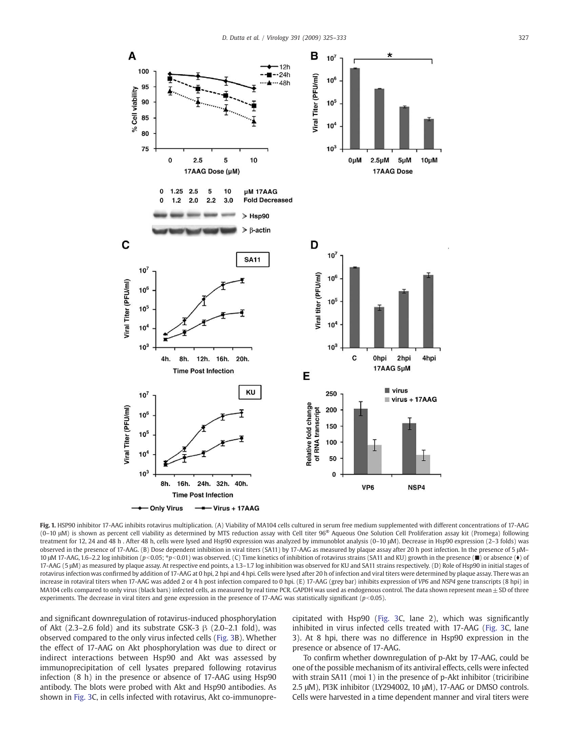<span id="page-2-0"></span>

Fig. 1. HSP90 inhibitor 17-AAG inhibits rotavirus multiplication. (A) Viability of MA104 cells cultured in serum free medium supplemented with different concentrations of 17-AAG (0–10 μM) is shown as percent cell viability as determined by MTS reduction assay with Cell titer 96® Aqueous One Solution Cell Proliferation assay kit (Promega) following treatment for 12, 24 and 48 h . After 48 h, cells were lysed and Hsp90 expression was analyzed by immunoblot analysis (0–10 μM). Decrease in Hsp90 expression (2–3 folds) was observed in the presence of 17-AAG. (B) Dose dependent inhibition in viral titers (SA11) by 17-AAG as measured by plaque assay after 20 h post infection. In the presence of 5 μM– 10 μM 17-AAG, 1.6–2.2 log inhibition (*p*<0.05; *\*p*<0.01) was observed. (C) Time kinetics of inhibition of rotavirus strains (SA11 and KU) growth in the presence (■) or absence (●) of 17-AAG (5 μM) as measured by plaque assay. At respective end points, a 1.3–1.7 log inhibition was observed for KU and SA11 strains respectively. (D) Role of Hsp90 in initial stages of rotavirus infection was confirmed by addition of 17-AAG at 0 hpi, 2 hpi and 4 hpi. Cells were lysed after 20 h of infection and viral titers were determined by plaque assay. There was an increase in rotaviral titers when 17-AAG was added 2 or 4 h post infection compared to 0 hpi. (E) 17-AAG (grey bar) inhibits expression of *VP6* and *NSP4* gene transcripts (8 hpi) in MA104 cells compared to only virus (black bars) infected cells, as measured by real time PCR. GAPDH was used as endogenous control. The data shown represent mean  $\pm$  SD of three experiments. The decrease in viral titers and gene expression in the presence of 17-AAG was statistically significant ( $p$ <0.05).

and significant downregulation of rotavirus-induced phosphorylation of Akt (2.3–2.6 fold) and its substrate GSK-3  $\beta$  (2.0–2.1 fold), was observed compared to the only virus infected cells [\(Fig. 3](#page-4-0)B). Whether the effect of 17-AAG on Akt phosphorylation was due to direct or indirect interactions between Hsp90 and Akt was assessed by immunoprecipitation of cell lysates prepared following rotavirus infection (8 h) in the presence or absence of 17-AAG using Hsp90 antibody. The blots were probed with Akt and Hsp90 antibodies. As shown in [Fig. 3C](#page-4-0), in cells infected with rotavirus, Akt co-immunoprecipitated with Hsp90 [\(Fig. 3](#page-4-0)C, lane 2), which was significantly inhibited in virus infected cells treated with 17-AAG ([Fig. 3](#page-4-0)C, lane 3). At 8 hpi, there was no difference in Hsp90 expression in the presence or absence of 17-AAG.

To confirm whether downregulation of p-Akt by 17-AAG, could be one of the possible mechanism of its antiviral effects, cells were infected with strain SA11 (moi 1) in the presence of p-Akt inhibitor (triciribine 2.5 μM), PI3K inhibitor (LY294002, 10 μM), 17-AAG or DMSO controls. Cells were harvested in a time dependent manner and viral titers were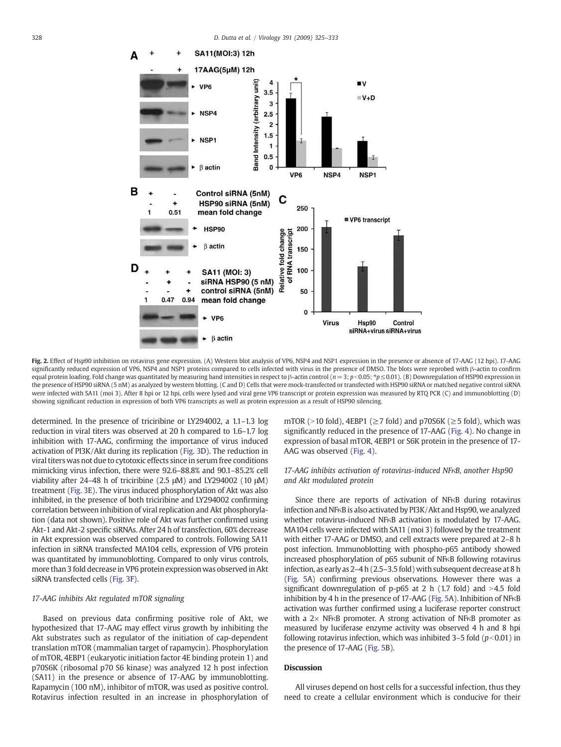<span id="page-3-0"></span>

Fig. 2. Effect of Hsp90 inhibition on rotavirus gene expression. (A) Western blot analysis of VP6, NSP4 and NSP1 expression in the presence or absence of 17-AAG (12 hpi). 17-AAG significantly reduced expression of VP6, NSP4 and NSP1 proteins compared to cells infected with virus in the presence of DMSO. The blots were reprobed with β-actin to confirm equal protein loading. Fold change was quantitated by measuring band intensities in respect to β-actin control (*n* = 3; *p* < 0.05; \**p* ≤ 0.01). (B) Downregulation of HSP90 expression in the presence of HSP90 siRNA (5 nM) as analyzed by western blotting. (C and D) Cells that were mock-transfected or transfected with HSP90 siRNA or matched negative control siRNA were infected with SA11 (moi 3). After 8 hpi or 12 hpi, cells were lysed and viral gene VP6 transcript or protein expression was measured by RTQ PCR (C) and immunoblotting (D) showing significant reduction in expression of both VP6 transcripts as well as protein expression as a result of HSP90 silencing.

determined. In the presence of triciribine or LY294002, a 1.1–1.3 log reduction in viral titers was observed at 20 h compared to 1.6–1.7 log inhibition with 17-AAG, confirming the importance of virus induced activation of PI3K/Akt during its replication [\(Fig. 3](#page-4-0)D). The reduction in viral titers was not due to cytotoxic effects since in serum free conditions mimicking virus infection, there were 92.6–88.8% and 90.1–85.2% cell viability after 24–48 h of triciribine (2.5 μM) and LY294002 (10 μM) treatment ([Fig. 3](#page-4-0)E). The virus induced phosphorylation of Akt was also inhibited, in the presence of both triciribine and LY294002 confirming correlation between inhibition of viral replication and Akt phosphorylation (data not shown). Positive role of Akt was further confirmed using Akt-1 and Akt-2 specific siRNAs. After 24 h of transfection, 60% decrease in Akt expression was observed compared to controls. Following SA11 infection in siRNA transfected MA104 cells, expression of VP6 protein was quantitated by immunoblotting. Compared to only virus controls, more than 3 fold decrease in VP6 protein expression was observed in Akt siRNA transfected cells ([Fig. 3](#page-4-0)F).

#### *17-AAG inhibits Akt regulated mTOR signaling*

Based on previous data confirming positive role of Akt, we hypothesized that 17-AAG may effect virus growth by inhibiting the Akt substrates such as regulator of the initiation of cap-dependent translation mTOR (mammalian target of rapamycin). Phosphorylation of mTOR, 4EBP1 (eukaryotic initiation factor 4E binding protein 1) and p70S6K (ribosomal p70 S6 kinase) was analyzed 12 h post infection (SA11) in the presence or absence of 17-AAG by immunoblotting. Rapamycin (100 nM), inhibitor of mTOR, was used as positive control. Rotavirus infection resulted in an increase in phosphorylation of mTOR (>10 fold), 4EBP1 ( $\geq$ 7 fold) and p70S6K ( $\geq$ 5 fold), which was significantly reduced in the presence of 17-AAG [\(Fig. 4](#page-5-0)). No change in expression of basal mTOR, 4EBP1 or S6K protein in the presence of 17- AAG was observed [\(Fig. 4\)](#page-5-0).

## *17-AAG inhibits activation of rotavirus-induced NF*κ*B, another Hsp90 and Akt modulated protein*

Since there are reports of activation of NFKB during rotavirus infection and NFκB is also activated by PI3K/Akt and Hsp90, we analyzed whether rotavirus-induced NFκB activation is modulated by 17-AAG. MA104 cells were infected with SA11 (moi 3) followed by the treatment with either 17-AAG or DMSO, and cell extracts were prepared at 2–8 h post infection. Immunoblotting with phospho-p65 antibody showed increased phosphorylation of p65 subunit of NFκB following rotavirus infection, as early as 2–4 h (2.5–3.5 fold) with subsequent decrease at 8 h [\(Fig. 5](#page-5-0)A) confirming previous observations. However there was a significant downregulation of p-p65 at 2 h (1.7 fold) and  $>4.5$  fold inhibition by 4 h in the presence of 17-AAG [\(Fig. 5A](#page-5-0)). Inhibition of NFκB activation was further confirmed using a luciferase reporter construct with a  $2\times$  NFKB promoter. A strong activation of NFKB promoter as measured by luciferase enzyme activity was observed 4 h and 8 hpi following rotavirus infection, which was inhibited  $3-5$  fold ( $p<0.01$ ) in the presence of 17-AAG ([Fig. 5](#page-5-0)B).

### **Discussion**

All viruses depend on host cells for a successful infection, thus they need to create a cellular environment which is conducive for their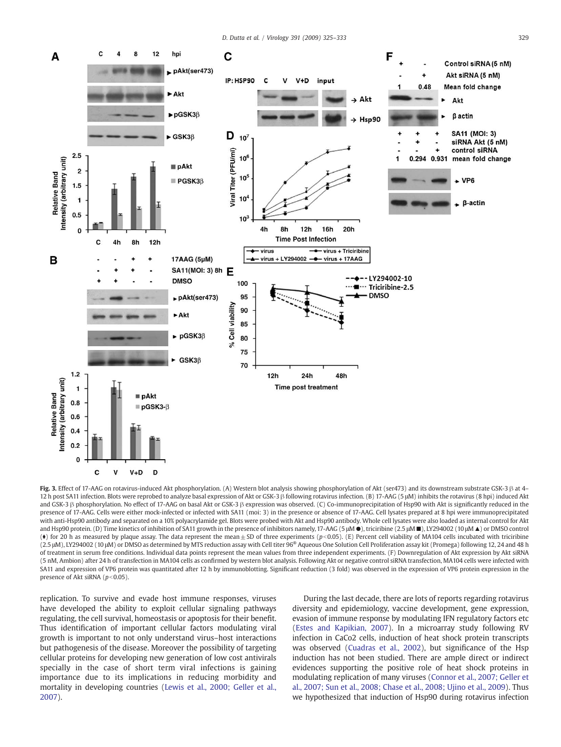<span id="page-4-0"></span>

Fig. 3. Effect of 17-AAG on rotavirus-induced Akt phosphorylation. (A) Western blot analysis showing phosphorylation of Akt (ser473) and its downstream substrate GSK-3 β at 4– 12 h post SA11 infection. Blots were reprobed to analyze basal expression of Akt or GSK-3 β following rotavirus infection. (B) 17-AAG (5 μM) inhibits the rotavirus (8 hpi) induced Akt and GSK-3 β phosphorylation. No effect of 17-AAG on basal Akt or GSK-3 β expression was observed. (C) Co-immunoprecipitation of Hsp90 with Akt is significantly reduced in the presence of 17-AAG. Cells were either mock-infected or infected with SA11 (moi: 3) in the presence or absence of 17-AAG. Cell lysates prepared at 8 hpi were immunoprecipitated with anti-Hsp90 antibody and separated on a 10% polyacrylamide gel. Blots were probed with Akt and Hsp90 antibody. Whole cell lysates were also loaded as internal control for Akt and Hsp90 protein. (D) Time kinetics of inhibition of SA11 growth in the presence of inhibitors namely, 17-AAG (5 μM ●), triciribine (2.5 μM ■), LY294002 (10 μM ▲) or DMSO control ( $\bullet$ ) for 20 h as measured by plaque assay. The data represent the mean  $\pm$  SD of three experiments (*p*<0.05). (E) Percent cell viability of MA104 cells incubated with triciribine (2.5 μM), LY294002 (10 μM) or DMSO as determined by MTS reduction assay with Cell titer 96® Aqueous One Solution Cell Proliferation assay kit (Promega) following 12, 24 and 48 h of treatment in serum free conditions. Individual data points represent the mean values from three independent experiments. (F) Downregulation of Akt expression by Akt siRNA (5 nM, Ambion) after 24 h of transfection in MA104 cells as confirmed by western blot analysis. Following Akt or negative control siRNA transfection, MA104 cells were infected with SA11 and expression of VP6 protein was quantitated after 12 h by immunoblotting. Significant reduction (3 fold) was observed in the expression of VP6 protein expression in the presence of Akt siRNA ( $p$ <0.05).

replication. To survive and evade host immune responses, viruses have developed the ability to exploit cellular signaling pathways regulating, the cell survival, homeostasis or apoptosis for their benefit. Thus identification of important cellular factors modulating viral growth is important to not only understand virus–host interactions but pathogenesis of the disease. Moreover the possibility of targeting cellular proteins for developing new generation of low cost antivirals specially in the case of short term viral infections is gaining importance due to its implications in reducing morbidity and mortality in developing countries ([Lewis et al., 2000; Geller et al.,](#page-8-0) [2007\)](#page-8-0).

During the last decade, there are lots of reports regarding rotavirus diversity and epidemiology, vaccine development, gene expression, evasion of immune response by modulating IFN regulatory factors etc [\(Estes and Kapikian, 2007](#page-8-0)). In a microarray study following RV infection in CaCo2 cells, induction of heat shock protein transcripts was observed ([Cuadras et al., 2002](#page-8-0)), but significance of the Hsp induction has not been studied. There are ample direct or indirect evidences supporting the positive role of heat shock proteins in modulating replication of many viruses [\(Connor et al., 2007; Geller et](#page-8-0) [al., 2007; Sun et al., 2008; Chase et al., 2008; Ujino et al., 2009\)](#page-8-0). Thus we hypothesized that induction of Hsp90 during rotavirus infection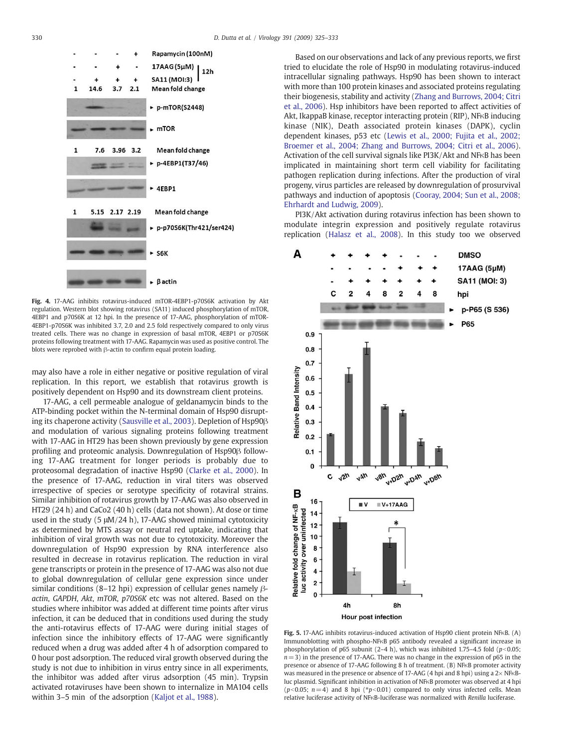<span id="page-5-0"></span>

Fig. 4. 17-AAG inhibits rotavirus-induced mTOR-4EBP1-p70S6K activation by Akt regulation. Western blot showing rotavirus (SA11) induced phosphorylation of mTOR, 4EBP1 and p70S6K at 12 hpi. In the presence of 17-AAG, phosphorylation of mTOR-4EBP1-p70S6K was inhibited 3.7, 2.0 and 2.5 fold respectively compared to only virus treated cells. There was no change in expression of basal mTOR, 4EBP1 or p70S6K proteins following treatment with 17-AAG. Rapamycin was used as positive control. The blots were reprobed with β-actin to confirm equal protein loading.

may also have a role in either negative or positive regulation of viral replication. In this report, we establish that rotavirus growth is positively dependent on Hsp90 and its downstream client proteins.

17-AAG, a cell permeable analogue of geldanamycin binds to the ATP-binding pocket within the N-terminal domain of Hsp90 disrupting its chaperone activity ([Sausville et al., 2003\)](#page-8-0). Depletion of Hsp90β and modulation of various signaling proteins following treatment with 17-AAG in HT29 has been shown previously by gene expression profiling and proteomic analysis. Downregulation of Hsp90β following 17-AAG treatment for longer periods is probably due to proteosomal degradation of inactive Hsp90 ([Clarke et al., 2000](#page-8-0)). In the presence of 17-AAG, reduction in viral titers was observed irrespective of species or serotype specificity of rotaviral strains. Similar inhibition of rotavirus growth by 17-AAG was also observed in HT29 (24 h) and CaCo2 (40 h) cells (data not shown). At dose or time used in the study (5 μM/24 h), 17-AAG showed minimal cytotoxicity as determined by MTS assay or neutral red uptake, indicating that inhibition of viral growth was not due to cytotoxicity. Moreover the downregulation of Hsp90 expression by RNA interference also resulted in decrease in rotavirus replication. The reduction in viral gene transcripts or protein in the presence of 17-AAG was also not due to global downregulation of cellular gene expression since under similar conditions (8–12 hpi) expression of cellular genes namely β*actin*, *GAPDH*, *Akt*, *mTOR*, *p70S6K* etc was not altered. Based on the studies where inhibitor was added at different time points after virus infection, it can be deduced that in conditions used during the study the anti-rotavirus effects of 17-AAG were during initial stages of infection since the inhibitory effects of 17-AAG were significantly reduced when a drug was added after 4 h of adsorption compared to 0 hour post adsorption. The reduced viral growth observed during the study is not due to inhibition in virus entry since in all experiments, the inhibitor was added after virus adsorption (45 min). Trypsin activated rotaviruses have been shown to internalize in MA104 cells within 3–5 min of the adsorption [\(Kaljot et al., 1988\)](#page-8-0).

Based on our observations and lack of any previous reports, we first tried to elucidate the role of Hsp90 in modulating rotavirus-induced intracellular signaling pathways. Hsp90 has been shown to interact with more than 100 protein kinases and associated proteins regulating their biogenesis, stability and activity ([Zhang and Burrows, 2004; Citri](#page-8-0) [et al., 2006](#page-8-0)). Hsp inhibitors have been reported to affect activities of Akt, IkappaB kinase, receptor interacting protein (RIP), NFκB inducing kinase (NIK), Death associated protein kinases (DAPK), cyclin dependent kinases, p53 etc [\(Lewis et al., 2000; Fujita et al., 2002;](#page-8-0) [Broemer et al., 2004; Zhang and Burrows, 2004; Citri et al., 2006](#page-8-0)). Activation of the cell survival signals like PI3K/Akt and NFκB has been implicated in maintaining short term cell viability for facilitating pathogen replication during infections. After the production of viral progeny, virus particles are released by downregulation of prosurvival pathways and induction of apoptosis [\(Cooray, 2004; Sun et al., 2008;](#page-8-0) [Ehrhardt and Ludwig, 2009](#page-8-0)).

PI3K/Akt activation during rotavirus infection has been shown to modulate integrin expression and positively regulate rotavirus replication ([Halasz et al., 2008](#page-8-0)). In this study too we observed



Fig. 5. 17-AAG inhibits rotavirus-induced activation of Hsp90 client protein NFκB. (A) Immunoblotting with phospho-NFκB p65 antibody revealed a significant increase in phosphorylation of p65 subunit  $(2-4 h)$ , which was inhibited 1.75-4.5 fold  $(p<0.05;$ *n*= 3) in the presence of 17-AAG. There was no change in the expression of p65 in the presence or absence of 17-AAG following 8 h of treatment. (B) NFκB promoter activity was measured in the presence or absence of 17-AAG (4 hpi and 8 hpi) using a  $2\times$  NFKBluc plasmid. Significant inhibition in activation of NFκB promoter was observed at 4 hpi ( $p$ <0.05;  $n = 4$ ) and 8 hpi ( $p$ <sup>*k*</sup> $p$ <0.01) compared to only virus infected cells. Mean relative luciferase activity of NFκB-luciferase was normalized with *Renilla* luciferase.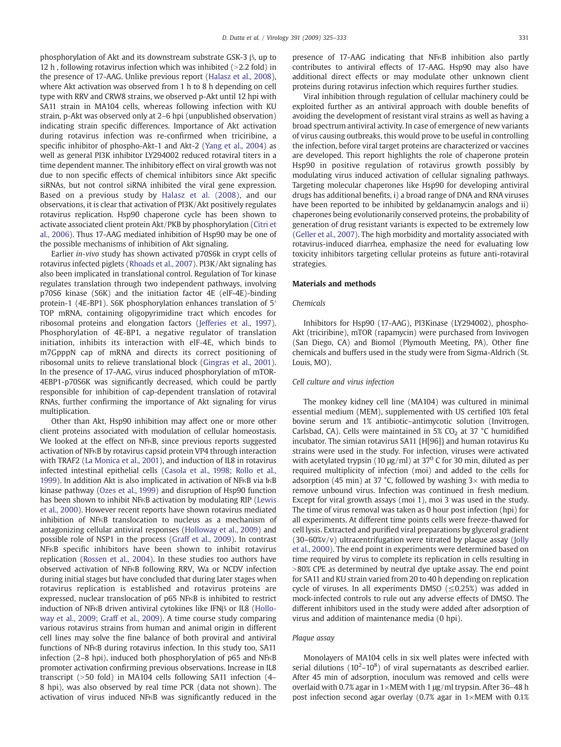phosphorylation of Akt and its downstream substrate GSK-3 β, up to 12 h, following rotavirus infection which was inhibited  $(>2.2$  fold) in the presence of 17-AAG. Unlike previous report [\(Halasz et al., 2008](#page-8-0)), where Akt activation was observed from 1 h to 8 h depending on cell type with RRV and CRW8 strains, we observed p-Akt until 12 hpi with SA11 strain in MA104 cells, whereas following infection with KU strain, p-Akt was observed only at 2–6 hpi (unpublished observation) indicating strain specific differences. Importance of Akt activation during rotavirus infection was re-confirmed when triciribine, a specific inhibitor of phospho-Akt-1 and Akt-2 ([Yang et al., 2004\)](#page-8-0) as well as general PI3K inhibitor LY294002 reduced rotaviral titers in a time dependent manner. The inhibitory effect on viral growth was not due to non specific effects of chemical inhibitors since Akt specific siRNAs, but not control siRNA inhibited the viral gene expression. Based on a previous study by [Halasz et al. \(2008\)](#page-8-0), and our observations, it is clear that activation of PI3K/Akt positively regulates rotavirus replication. Hsp90 chaperone cycle has been shown to activate associated client protein Akt/PKB by phosphorylation [\(Citri et](#page-8-0) [al., 2006\)](#page-8-0). Thus 17-AAG mediated inhibition of Hsp90 may be one of the possible mechanisms of inhibition of Akt signaling.

Earlier *in-vivo* study has shown activated p70S6k in crypt cells of rotavirus infected piglets [\(Rhoads et al., 2007\)](#page-8-0). PI3K/Akt signaling has also been implicated in translational control. Regulation of Tor kinase regulates translation through two independent pathways, involving p70S6 kinase (S6K) and the initiation factor 4E (elF-4E)-binding protein-1 (4E-BP1). S6K phosphorylation enhances translation of 5′ TOP mRNA, containing oligopyrimidine tract which encodes for ribosomal proteins and elongation factors ([Jefferies et al., 1997](#page-8-0)). Phosphorylation of 4E-BP1, a negative regulator of translation initiation, inhibits its interaction with elF-4E, which binds to m7GpppN cap of mRNA and directs its correct positioning of ribosomal units to relieve translational block ([Gingras et al., 2001](#page-8-0)). In the presence of 17-AAG, virus induced phosphorylation of mTOR-4EBP1-p70S6K was significantly decreased, which could be partly responsible for inhibition of cap-dependent translation of rotaviral RNAs, further confirming the importance of Akt signaling for virus multiplication.

Other than Akt, Hsp90 inhibition may affect one or more other client proteins associated with modulation of cellular homeostasis. We looked at the effect on NFκB, since previous reports suggested activation of NFκB by rotavirus capsid protein VP4 through interaction with TRAF2 [\(La Monica et al., 2001](#page-8-0)), and induction of IL8 in rotavirus infected intestinal epithelial cells ([Casola et al., 1998; Rollo et al.,](#page-8-0) [1999](#page-8-0)). In addition Akt is also implicated in activation of NFκB via IκB kinase pathway ([Ozes et al., 1999](#page-8-0)) and disruption of Hsp90 function has been shown to inhibit NFκB activation by modulating RIP [\(Lewis](#page-8-0) [et al., 2000\)](#page-8-0). However recent reports have shown rotavirus mediated inhibition of NFκB translocation to nucleus as a mechanism of antagonizing cellular antiviral responses [\(Holloway et al., 2009\)](#page-8-0) and possible role of NSP1 in the process ([Graff et al., 2009\)](#page-8-0). In contrast NFκB specific inhibitors have been shown to inhibit rotavirus replication [\(Rossen et al., 2004](#page-8-0)). In these studies too authors have observed activation of NFκB following RRV, Wa or NCDV infection during initial stages but have concluded that during later stages when rotavirus replication is established and rotavirus proteins are expressed, nuclear translocation of p65 NFκB is inhibited to restrict induction of NFκB driven antiviral cytokines like IFNβ or IL8 ([Hollo](#page-8-0)[way et al., 2009; Graff et al., 2009](#page-8-0)). A time course study comparing various rotavirus strains from human and animal origin in different cell lines may solve the fine balance of both proviral and antiviral functions of NFκB during rotavirus infection. In this study too, SA11 infection (2–8 hpi), induced both phosphorylation of p65 and NFκB promoter activation confirming previous observations. Increase in IL8 transcript ( $>50$  fold) in MA104 cells following SA11 infection (4– 8 hpi), was also observed by real time PCR (data not shown). The activation of virus induced NFκB was significantly reduced in the presence of 17-AAG indicating that NFκB inhibition also partly contributes to antiviral effects of 17-AAG. Hsp90 may also have additional direct effects or may modulate other unknown client proteins during rotavirus infection which requires further studies.

Viral inhibition through regulation of cellular machinery could be exploited further as an antiviral approach with double benefits of avoiding the development of resistant viral strains as well as having a broad spectrum antiviral activity. In case of emergence of new variants of virus causing outbreaks, this would prove to be useful in controlling the infection, before viral target proteins are characterized or vaccines are developed. This report highlights the role of chaperone protein Hsp90 in positive regulation of rotavirus growth possibly by modulating virus induced activation of cellular signaling pathways. Targeting molecular chaperones like Hsp90 for developing antiviral drugs has additional benefits, i) a broad range of DNA and RNA viruses have been reported to be inhibited by geldanamycin analogs and ii) chaperones being evolutionarily conserved proteins, the probability of generation of drug resistant variants is expected to be extremely low [\(Geller et al., 2007\)](#page-8-0). The high morbidity and mortality associated with rotavirus-induced diarrhea, emphasize the need for evaluating low toxicity inhibitors targeting cellular proteins as future anti-rotaviral strategies.

#### Materials and methods

### *Chemicals*

Inhibitors for Hsp90 (17-AAG), PI3Kinase (LY294002), phospho-Akt (triciribine), mTOR (rapamycin) were purchased from Invivogen (San Diego, CA) and Biomol (Plymouth Meeting, PA). Other fine chemicals and buffers used in the study were from Sigma-Aldrich (St. Louis, MO).

#### *Cell culture and virus infection*

The monkey kidney cell line (MA104) was cultured in minimal essential medium (MEM), supplemented with US certified 10% fetal bovine serum and 1% antibiotic–antimycotic solution (Invitrogen, Carlsbad, CA). Cells were maintained in 5% CO<sub>2</sub> at 37 °C humidified incubator. The simian rotavirus SA11 {H[96]} and human rotavirus Ku strains were used in the study. For infection, viruses were activated with acetylated trypsin (10  $\mu$ g/ml) at 37<sup>0</sup> C for 30 min, diluted as per required multiplicity of infection (moi) and added to the cells for adsorption (45 min) at 37 °C, followed by washing  $3\times$  with media to remove unbound virus. Infection was continued in fresh medium. Except for viral growth assays (moi 1), moi 3 was used in the study. The time of virus removal was taken as 0 hour post infection (hpi) for all experiments. At different time points cells were freeze-thawed for cell lysis. Extracted and purified viral preparations by glycerol gradient (30–60%v/v) ultracentrifugation were titrated by plaque assay ([Jolly](#page-8-0) [et al., 2000](#page-8-0)). The end point in experiments were determined based on time required by virus to complete its replication in cells resulting in  $>80\%$  CPE as determined by neutral dye uptake assay. The end point for SA11 and KU strain varied from 20 to 40 h depending on replication cycle of viruses. In all experiments DMSO ( $\leq$ 0.25%) was added in mock-infected controls to rule out any adverse effects of DMSO. The different inhibitors used in the study were added after adsorption of virus and addition of maintenance media (0 hpi).

#### *Plaque assay*

Monolayers of MA104 cells in six well plates were infected with serial dilutions ( $10^2 - 10^8$ ) of viral supernatants as described earlier. After 45 min of adsorption, inoculum was removed and cells were overlaid with 0.7% agar in 1×MEM with 1 μg/ml trypsin. After 36–48 h post infection second agar overlay (0.7% agar in  $1\times$ MEM with 0.1%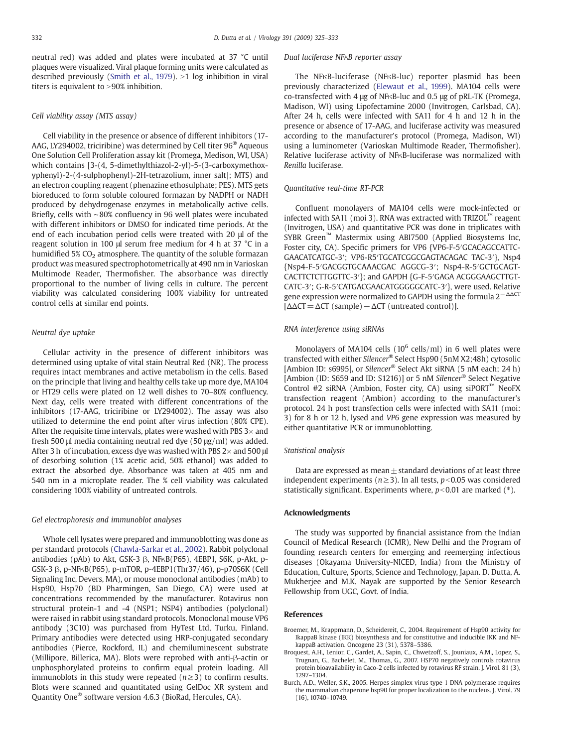<span id="page-7-0"></span>neutral red) was added and plates were incubated at 37 °C until plaques were visualized. Viral plaque forming units were calculated as described previously [\(Smith et al., 1979](#page-8-0)).  $>1$  log inhibition in viral titers is equivalent to  $>90\%$  inhibition.

#### *Cell viability assay (MTS assay)*

Cell viability in the presence or absence of different inhibitors (17- AAG, LY294002, triciribine) was determined by Cell titer 96® Aqueous One Solution Cell Proliferation assay kit (Promega, Medison, WI, USA) which contains [3-(4, 5-dimethylthiazol-2-yl)-5-(3-carboxymethoxyphenyl)-2-(4-sulphophenyl)-2H-tetrazolium, inner salt]; MTS) and an electron coupling reagent (phenazine ethosulphate; PES). MTS gets bioreduced to form soluble coloured formazan by NADPH or NADH produced by dehydrogenase enzymes in metabolically active cells. Briefly, cells with ∼80% confluency in 96 well plates were incubated with different inhibitors or DMSO for indicated time periods. At the end of each incubation period cells were treated with 20 μl of the reagent solution in 100 μl serum free medium for 4 h at 37 °C in a humidified  $5\%$  CO<sub>2</sub> atmosphere. The quantity of the soluble formazan product was measured spectrophotometrically at 490 nm in Varioskan Multimode Reader, Thermofisher. The absorbance was directly proportional to the number of living cells in culture. The percent viability was calculated considering 100% viability for untreated control cells at similar end points.

#### *Neutral dye uptake*

Cellular activity in the presence of different inhibitors was determined using uptake of vital stain Neutral Red (NR). The process requires intact membranes and active metabolism in the cells. Based on the principle that living and healthy cells take up more dye, MA104 or HT29 cells were plated on 12 well dishes to 70–80% confluency. Next day, cells were treated with different concentrations of the inhibitors (17-AAG, triciribine or LY294002). The assay was also utilized to determine the end point after virus infection (80% CPE). After the requisite time intervals, plates were washed with PBS  $3\times$  and fresh 500 μl media containing neutral red dye (50 μg/ml) was added. After 3 h of incubation, excess dye was washed with PBS  $2\times$  and 500 µ of desorbing solution (1% acetic acid, 50% ethanol) was added to extract the absorbed dye. Absorbance was taken at 405 nm and 540 nm in a microplate reader. The % cell viability was calculated considering 100% viability of untreated controls.

#### *Gel electrophoresis and immunoblot analyses*

Whole cell lysates were prepared and immunoblotting was done as per standard protocols ([Chawla-Sarkar et al., 2002\)](#page-8-0). Rabbit polyclonal antibodies (pAb) to Akt, GSK-3 β, NFκB(P65), 4EBP1, S6K, p-Akt, p-GSK-3 β, p-NFκB(P65), p-mTOR, p-4EBP1(Thr37/46), p-p70S6K (Cell Signaling Inc, Devers, MA), or mouse monoclonal antibodies (mAb) to Hsp90, Hsp70 (BD Pharmingen, San Diego, CA) were used at concentrations recommended by the manufacturer. Rotavirus non structural protein-1 and -4 (NSP1; NSP4) antibodies (polyclonal) were raised in rabbit using standard protocols. Monoclonal mouse VP6 antibody (3C10) was purchased from HyTest Ltd, Turku, Finland. Primary antibodies were detected using HRP-conjugated secondary antibodies (Pierce, Rockford, IL) and chemiluminescent substrate (Millipore, Billerica, MA). Blots were reprobed with anti-β-actin or unphosphorylated proteins to confirm equal protein loading. All immunoblots in this study were repeated (*n*≥3) to confirm results. Blots were scanned and quantitated using GelDoc XR system and Quantity One<sup>®</sup> software version 4.6.3 (BioRad, Hercules, CA).

#### *Dual luciferase NF*κ*B reporter assay*

The NFκB-luciferase (NFκB-luc) reporter plasmid has been previously characterized ([Elewaut et al., 1999](#page-8-0)). MA104 cells were co-transfected with 4 μg of NFκB-luc and 0.5 μg of pRL-TK (Promega, Madison, WI) using Lipofectamine 2000 (Invitrogen, Carlsbad, CA). After 24 h, cells were infected with SA11 for 4 h and 12 h in the presence or absence of 17-AAG, and luciferase activity was measured according to the manufacturer's protocol (Promega, Madison, WI) using a luminometer (Varioskan Multimode Reader, Thermofisher). Relative luciferase activity of NFκB-luciferase was normalized with *Renilla* luciferase.

#### *Quantitative real-time RT-PCR*

Confluent monolayers of MA104 cells were mock-infected or infected with SA11 (moi 3). RNA was extracted with TRIZOL™ reagent (Invitrogen, USA) and quantitative PCR was done in triplicates with SYBR Green™ Mastermix using ABI7500 (Applied Biosystems Inc, Foster city, CA). Specific primers for VP6 {VP6-F-5′GCACAGCCATTC-GAACATCATGC-3′; VP6-R5′TGCATCGGCGAGTACAGAC TAC-3′}, Nsp4 {Nsp4-F-5′GACGGTGCAAACGAC AGGCG-3′; Nsp4-R-5′GCTGCAGT-CACTTCTCTTGGTTC-3′}; and GAPDH {G-F-5′GAGA ACGGGAAGCTTGT-CATC-3′; G-R-5′CATGACGAACATGGGGGCATC-3′}, were used. Relative gene expression were normalized to GAPDH using the formula  $2^{-\Delta\Delta CT}$ [ΔΔCT=ΔCT (sample)−ΔCT (untreated control)].

### *RNA interference using siRNAs*

Monolayers of MA104 cells  $(10^6 \text{ cells/ml})$  in 6 well plates were transfected with either *Silencer*® Select Hsp90 (5nM X2;48h) cytosolic [Ambion ID: s6995], or *Silencer*® Select Akt siRNA (5 nM each; 24 h) [Ambion (ID: S659 and ID: S1216)] or 5 nM *Silencer*® Select Negative Control #2 siRNA (Ambion, Foster city, CA) using  $si$ PORT<sup> $m$ </sup> NeoFX transfection reagent (Ambion) according to the manufacturer's protocol. 24 h post transfection cells were infected with SA11 (moi: 3) for 8 h or 12 h, lysed and *VP6* gene expression was measured by either quantitative PCR or immunoblotting.

#### *Statistical analysis*

Data are expressed as mean $\pm$  standard deviations of at least three independent experiments ( $n \ge 3$ ). In all tests,  $p < 0.05$  was considered statistically significant. Experiments where,  $p < 0.01$  are marked ( $*$ ).

#### Acknowledgments

The study was supported by financial assistance from the Indian Council of Medical Research (ICMR), New Delhi and the Program of founding research centers for emerging and reemerging infectious diseases (Okayama University-NICED, India) from the Ministry of Education, Culture, Sports, Science and Technology, Japan. D. Dutta, A. Mukherjee and M.K. Nayak are supported by the Senior Research Fellowship from UGC, Govt. of India.

#### References

- Broemer, M., Krappmann, D., Scheidereit, C., 2004. Requirement of Hsp90 activity for IkappaB kinase (IKK) biosynthesis and for constitutive and inducible IKK and NFkappaB activation. Oncogene 23 (31), 5378–5386.
- Broquest, A.H., Lenior, C., Gardet, A., Sapin, C., Chwetzoff, S., Jouniaux, A.M., Lopez, S., Trugnan, G., Bachelet, M., Thomas, G., 2007. HSP70 negatively controls rotavirus protein bioavailability in Caco-2 cells infected by rotavirus RF strain. J. Virol. 81 (3), 1297–1304.
- Burch, A.D., Weller, S.K., 2005. Herpes simplex virus type 1 DNA polymerase requires the mammalian chaperone hsp90 for proper localization to the nucleus. J. Virol. 79 (16), 10740–10749.